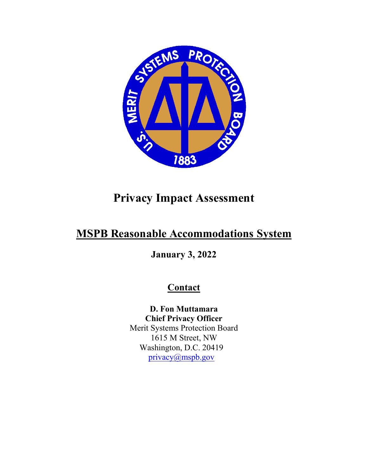

# **Privacy Impact Assessment**

# **MSPB Reasonable Accommodations System**

**January 3, 2022**

# **Contact**

**D. Fon Muttamara Chief Privacy Officer** Merit Systems Protection Board 1615 M Street, NW Washington, D.C. 20419 [privacy@mspb.gov](mailto:privacy@mspb.gov)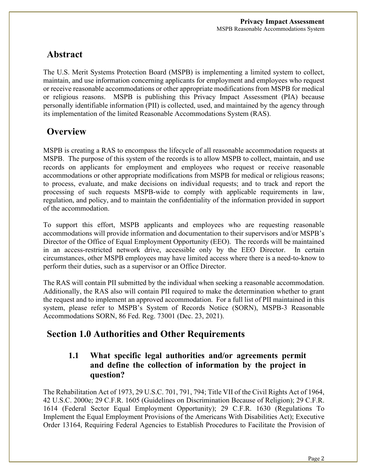# **Abstract**

The U.S. Merit Systems Protection Board (MSPB) is implementing a limited system to collect, maintain, and use information concerning applicants for employment and employees who request or receive reasonable accommodations or other appropriate modifications from MSPB for medical or religious reasons. MSPB is publishing this Privacy Impact Assessment (PIA) because personally identifiable information (PII) is collected, used, and maintained by the agency through its implementation of the limited Reasonable Accommodations System (RAS).

### **Overview**

MSPB is creating a RAS to encompass the lifecycle of all reasonable accommodation requests at MSPB. The purpose of this system of the records is to allow MSPB to collect, maintain, and use records on applicants for employment and employees who request or receive reasonable accommodations or other appropriate modifications from MSPB for medical or religious reasons; to process, evaluate, and make decisions on individual requests; and to track and report the processing of such requests MSPB-wide to comply with applicable requirements in law, regulation, and policy, and to maintain the confidentiality of the information provided in support of the accommodation.

To support this effort, MSPB applicants and employees who are requesting reasonable accommodations will provide information and documentation to their supervisors and/or MSPB's Director of the Office of Equal Employment Opportunity (EEO). The records will be maintained in an access-restricted network drive, accessible only by the EEO Director. In certain circumstances, other MSPB employees may have limited access where there is a need-to-know to perform their duties, such as a supervisor or an Office Director.

The RAS will contain PII submitted by the individual when seeking a reasonable accommodation. Additionally, the RAS also will contain PII required to make the determination whether to grant the request and to implement an approved accommodation. For a full list of PII maintained in this system, please refer to MSPB's System of Records Notice (SORN), MSPB-3 Reasonable Accommodations SORN, 86 Fed. Reg. 73001 (Dec. 23, 2021).

# **Section 1.0 Authorities and Other Requirements**

### **1.1 What specific legal authorities and/or agreements permit and define the collection of information by the project in question?**

The Rehabilitation Act of 1973, 29 U.S.C. 701, 791, 794; Title VII of the Civil Rights Act of 1964, 42 U.S.C. 2000e; 29 C.F.R. 1605 (Guidelines on Discrimination Because of Religion); 29 C.F.R. 1614 (Federal Sector Equal Employment Opportunity); 29 C.F.R. 1630 (Regulations To Implement the Equal Employment Provisions of the Americans With Disabilities Act); Executive Order 13164, Requiring Federal Agencies to Establish Procedures to Facilitate the Provision of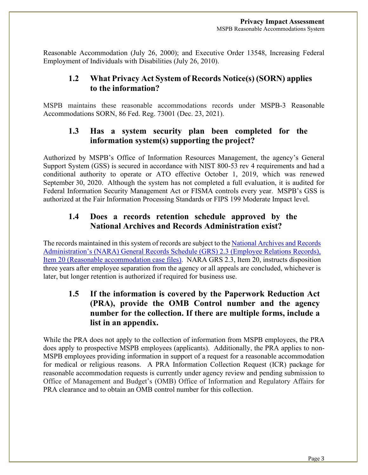Reasonable Accommodation (July 26, 2000); and Executive Order 13548, Increasing Federal Employment of Individuals with Disabilities (July 26, 2010).

### **1.2 What Privacy Act System of Records Notice(s) (SORN) applies to the information?**

MSPB maintains these reasonable accommodations records under MSPB-3 Reasonable Accommodations SORN, 86 Fed. Reg. 73001 (Dec. 23, 2021).

### **1.3 Has a system security plan been completed for the information system(s) supporting the project?**

Authorized by MSPB's Office of Information Resources Management, the agency's General Support System (GSS) is secured in accordance with NIST 800-53 rev 4 requirements and had a conditional authority to operate or ATO effective October 1, 2019, which was renewed September 30, 2020. Although the system has not completed a full evaluation, it is audited for Federal Information Security Management Act or FISMA controls every year. MSPB's GSS is authorized at the Fair Information Processing Standards or FIPS 199 Moderate Impact level.

### **1.4 Does a records retention schedule approved by the National Archives and Records Administration exist?**

The records maintained in this system of records are subject to th[e National Archives and Records](https://www.archives.gov/files/records-mgmt/grs/grs02-3.pdf)  [Administration's \(NARA\) General Records Schedule \(GRS\) 2.3 \(Employee Relations Records\),](https://www.archives.gov/files/records-mgmt/grs/grs02-3.pdf)  [Item 20 \(Reasonable accommodation case files\).](https://www.archives.gov/files/records-mgmt/grs/grs02-3.pdf) NARA GRS 2.3, Item 20, instructs disposition three years after employee separation from the agency or all appeals are concluded, whichever is later, but longer retention is authorized if required for business use.

### **1.5 If the information is covered by the Paperwork Reduction Act (PRA), provide the OMB Control number and the agency number for the collection. If there are multiple forms, include a list in an appendix.**

While the PRA does not apply to the collection of information from MSPB employees, the PRA does apply to prospective MSPB employees (applicants). Additionally, the PRA applies to non-MSPB employees providing information in support of a request for a reasonable accommodation for medical or religious reasons. A PRA Information Collection Request (ICR) package for reasonable accommodation requests is currently under agency review and pending submission to Office of Management and Budget's (OMB) Office of Information and Regulatory Affairs for PRA clearance and to obtain an OMB control number for this collection.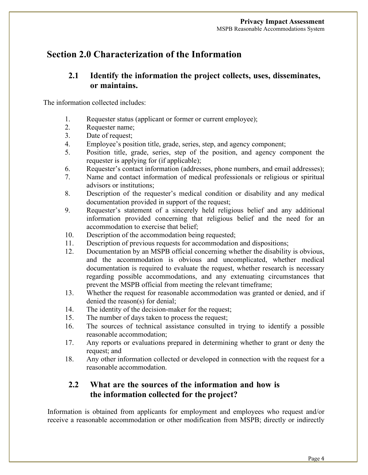## **Section 2.0 Characterization of the Information**

#### **2.1 Identify the information the project collects, uses, disseminates, or maintains.**

The information collected includes:

- 1. Requester status (applicant or former or current employee);
- 2. Requester name;
- 3. Date of request;
- 4. Employee's position title, grade, series, step, and agency component;
- 5. Position title, grade, series, step of the position, and agency component the requester is applying for (if applicable);
- 6. Requester's contact information (addresses, phone numbers, and email addresses);
- 7. Name and contact information of medical professionals or religious or spiritual advisors or institutions;
- 8. Description of the requester's medical condition or disability and any medical documentation provided in support of the request;
- 9. Requester's statement of a sincerely held religious belief and any additional information provided concerning that religious belief and the need for an accommodation to exercise that belief;
- 10. Description of the accommodation being requested;
- 11. Description of previous requests for accommodation and dispositions;
- 12. Documentation by an MSPB official concerning whether the disability is obvious, and the accommodation is obvious and uncomplicated, whether medical documentation is required to evaluate the request, whether research is necessary regarding possible accommodations, and any extenuating circumstances that prevent the MSPB official from meeting the relevant timeframe;
- 13. Whether the request for reasonable accommodation was granted or denied, and if denied the reason(s) for denial;
- 14. The identity of the decision-maker for the request;
- 15. The number of days taken to process the request;
- 16. The sources of technical assistance consulted in trying to identify a possible reasonable accommodation;
- 17. Any reports or evaluations prepared in determining whether to grant or deny the request; and
- 18. Any other information collected or developed in connection with the request for a reasonable accommodation.

#### **2.2 What are the sources of the information and how is the information collected for the project?**

Information is obtained from applicants for employment and employees who request and/or receive a reasonable accommodation or other modification from MSPB; directly or indirectly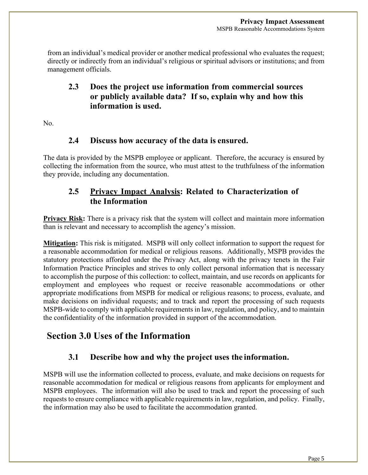from an individual's medical provider or another medical professional who evaluates the request; directly or indirectly from an individual's religious or spiritual advisors or institutions; and from management officials.

### **2.3 Does the project use information from commercial sources or publicly available data? If so, explain why and how this information is used.**

No.

#### **2.4 Discuss how accuracy of the data is ensured.**

The data is provided by the MSPB employee or applicant. Therefore, the accuracy is ensured by collecting the information from the source, who must attest to the truthfulness of the information they provide, including any documentation.

### **2.5 Privacy Impact Analysis: Related to Characterization of the Information**

**Privacy Risk:** There is a privacy risk that the system will collect and maintain more information than is relevant and necessary to accomplish the agency's mission.

**Mitigation:** This risk is mitigated. MSPB will only collect information to support the request for a reasonable accommodation for medical or religious reasons. Additionally, MSPB provides the statutory protections afforded under the Privacy Act, along with the privacy tenets in the Fair Information Practice Principles and strives to only collect personal information that is necessary to accomplish the purpose of this collection: to collect, maintain, and use records on applicants for employment and employees who request or receive reasonable accommodations or other appropriate modifications from MSPB for medical or religious reasons; to process, evaluate, and make decisions on individual requests; and to track and report the processing of such requests MSPB-wide to comply with applicable requirements in law, regulation, and policy, and to maintain the confidentiality of the information provided in support of the accommodation.

# **Section 3.0 Uses of the Information**

### **3.1 Describe how and why the project uses the information.**

MSPB will use the information collected to process, evaluate, and make decisions on requests for reasonable accommodation for medical or religious reasons from applicants for employment and MSPB employees. The information will also be used to track and report the processing of such requests to ensure compliance with applicable requirements in law, regulation, and policy. Finally, the information may also be used to facilitate the accommodation granted.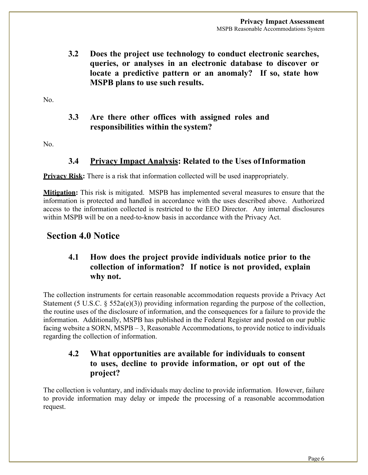**3.2 Does the project use technology to conduct electronic searches, queries, or analyses in an electronic database to discover or locate a predictive pattern or an anomaly? If so, state how MSPB plans to use such results.**

No.

#### **3.3 Are there other offices with assigned roles and responsibilities within the system?**

No.

#### **3.4 Privacy Impact Analysis: Related to the Uses ofInformation**

**Privacy Risk:** There is a risk that information collected will be used inappropriately.

**Mitigation:** This risk is mitigated. MSPB has implemented several measures to ensure that the information is protected and handled in accordance with the uses described above. Authorized access to the information collected is restricted to the EEO Director. Any internal disclosures within MSPB will be on a need-to-know basis in accordance with the Privacy Act.

## **Section 4.0 Notice**

### **4.1 How does the project provide individuals notice prior to the collection of information? If notice is not provided, explain why not.**

The collection instruments for certain reasonable accommodation requests provide a Privacy Act Statement (5 U.S.C. § 552a(e)(3)) providing information regarding the purpose of the collection, the routine uses of the disclosure of information, and the consequences for a failure to provide the information. Additionally, MSPB has published in the Federal Register and posted on our public facing website a SORN, MSPB – 3, Reasonable Accommodations, to provide notice to individuals regarding the collection of information.

### **4.2 What opportunities are available for individuals to consent to uses, decline to provide information, or opt out of the project?**

The collection is voluntary, and individuals may decline to provide information. However, failure to provide information may delay or impede the processing of a reasonable accommodation request.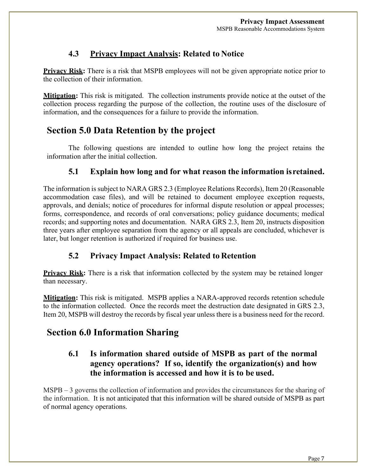### **4.3 Privacy Impact Analysis: Related to Notice**

**Privacy Risk:** There is a risk that MSPB employees will not be given appropriate notice prior to the collection of their information.

**Mitigation:** This risk is mitigated. The collection instruments provide notice at the outset of the collection process regarding the purpose of the collection, the routine uses of the disclosure of information, and the consequences for a failure to provide the information.

# **Section 5.0 Data Retention by the project**

The following questions are intended to outline how long the project retains the information after the initial collection.

### **5.1 Explain how long and for what reason the information isretained.**

The information is subject to NARA GRS 2.3 (Employee Relations Records), Item 20 (Reasonable accommodation case files), and will be retained to document employee exception requests, approvals, and denials; notice of procedures for informal dispute resolution or appeal processes; forms, correspondence, and records of oral conversations; policy guidance documents; medical records; and supporting notes and documentation. NARA GRS 2.3, Item 20, instructs disposition three years after employee separation from the agency or all appeals are concluded, whichever is later, but longer retention is authorized if required for business use.

#### **5.2 Privacy Impact Analysis: Related to Retention**

**Privacy Risk:** There is a risk that information collected by the system may be retained longer than necessary.

**Mitigation:** This risk is mitigated. MSPB applies a NARA-approved records retention schedule to the information collected. Once the records meet the destruction date designated in GRS 2.3, Item 20, MSPB will destroy the records by fiscal year unless there is a business need for the record.

# **Section 6.0 Information Sharing**

### **6.1 Is information shared outside of MSPB as part of the normal agency operations? If so, identify the organization(s) and how the information is accessed and how it is to be used.**

MSPB – 3 governs the collection of information and provides the circumstances for the sharing of the information. It is not anticipated that this information will be shared outside of MSPB as part of normal agency operations.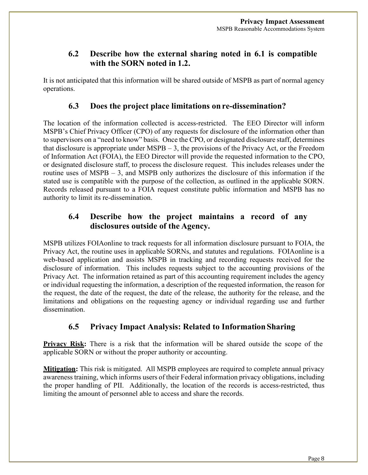### **6.2 Describe how the external sharing noted in 6.1 is compatible with the SORN noted in 1.2.**

It is not anticipated that this information will be shared outside of MSPB as part of normal agency operations.

#### **6.3 Does the project place limitations on re-dissemination?**

The location of the information collected is access-restricted. The EEO Director will inform MSPB's Chief Privacy Officer (CPO) of any requests for disclosure of the information other than to supervisors on a "need to know" basis. Once the CPO, or designated disclosure staff, determines that disclosure is appropriate under MSPB – 3, the provisions of the Privacy Act, or the Freedom of Information Act (FOIA), the EEO Director will provide the requested information to the CPO, or designated disclosure staff, to process the disclosure request. This includes releases under the routine uses of MSPB – 3, and MSPB only authorizes the disclosure of this information if the stated use is compatible with the purpose of the collection, as outlined in the applicable SORN. Records released pursuant to a FOIA request constitute public information and MSPB has no authority to limit its re-dissemination.

### **6.4 Describe how the project maintains a record of any disclosures outside of the Agency.**

MSPB utilizes FOIAonline to track requests for all information disclosure pursuant to FOIA, the Privacy Act, the routine uses in applicable SORNs, and statutes and regulations. FOIAonline is a web-based application and assists MSPB in tracking and recording requests received for the disclosure of information. This includes requests subject to the accounting provisions of the Privacy Act. The information retained as part of this accounting requirement includes the agency or individual requesting the information, a description of the requested information, the reason for the request, the date of the request, the date of the release, the authority for the release, and the limitations and obligations on the requesting agency or individual regarding use and further dissemination.

#### **6.5 Privacy Impact Analysis: Related to InformationSharing**

**Privacy Risk:** There is a risk that the information will be shared outside the scope of the applicable SORN or without the proper authority or accounting.

**Mitigation:** This risk is mitigated. All MSPB employees are required to complete annual privacy awareness training, which informs users of their Federal information privacy obligations, including the proper handling of PII. Additionally, the location of the records is access-restricted, thus limiting the amount of personnel able to access and share the records.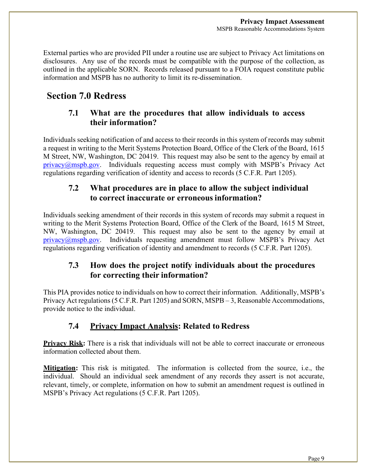External parties who are provided PII under a routine use are subject to Privacy Act limitations on disclosures. Any use of the records must be compatible with the purpose of the collection, as outlined in the applicable SORN. Records released pursuant to a FOIA request constitute public information and MSPB has no authority to limit its re-dissemination.

# **Section 7.0 Redress**

### **7.1 What are the procedures that allow individuals to access their information?**

Individuals seeking notification of and access to their records in this system of records may submit a request in writing to the Merit Systems Protection Board, Office of the Clerk of the Board, 1615 M Street, NW, Washington, DC 20419. This request may also be sent to the agency by email at [privacy@mspb.gov.](mailto:privacy@mspb.gov) Individuals requesting access must comply with MSPB's Privacy Act regulations regarding verification of identity and access to records (5 C.F.R. Part 1205).

### **7.2 What procedures are in place to allow the subject individual to correct inaccurate or erroneousinformation?**

Individuals seeking amendment of their records in this system of records may submit a request in writing to the Merit Systems Protection Board, Office of the Clerk of the Board, 1615 M Street, NW, Washington, DC 20419. This request may also be sent to the agency by email at [privacy@mspb.gov.](mailto:privacy@mspb.gov) Individuals requesting amendment must follow MSPB's Privacy Act regulations regarding verification of identity and amendment to records (5 C.F.R. Part 1205).

### **7.3 How does the project notify individuals about the procedures for correcting their information?**

This PIA provides notice to individuals on how to correct their information. Additionally, MSPB's Privacy Act regulations(5 C.F.R. Part 1205) and SORN, MSPB – 3, Reasonable Accommodations, provide notice to the individual.

### **7.4 Privacy Impact Analysis: Related to Redress**

**Privacy Risk:** There is a risk that individuals will not be able to correct inaccurate or erroneous information collected about them.

**Mitigation:** This risk is mitigated. The information is collected from the source, i.e., the individual. Should an individual seek amendment of any records they assert is not accurate, relevant, timely, or complete, information on how to submit an amendment request is outlined in MSPB's Privacy Act regulations (5 C.F.R. Part 1205).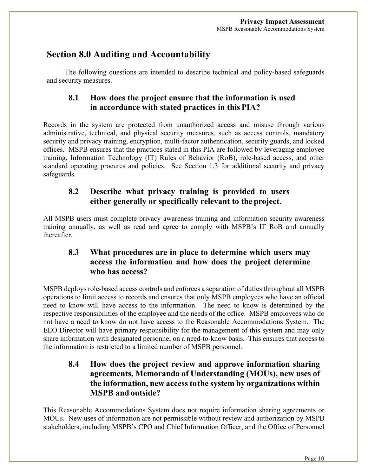## **Section 8.0 Auditing and Accountability**

The following questions are intended to describe technical and policy-based safeguards and security measures.

#### **8.1 How does the project ensure that the information is used in accordance with stated practices in this PIA?**

Records in the system are protected from unauthorized access and misuse through various administrative, technical, and physical security measures, such as access controls, mandatory security and privacy training, encryption, multi-factor authentication, security guards, and locked offices. MSPB ensures that the practices stated in this PIA are followed by leveraging employee training, Information Technology (IT) Rules of Behavior (RoB), role-based access, and other standard operating procures and policies. See Section 1.3 for additional security and privacy safeguards.

### **8.2 Describe what privacy training is provided to users either generally or specifically relevant to the project.**

All MSPB users must complete privacy awareness training and information security awareness training annually, as well as read and agree to comply with MSPB's IT RoB and annually thereafter.

### **8.3 What procedures are in place to determine which users may access the information and how does the project determine who has access?**

MSPB deploys role-based access controls and enforces a separation of duties throughout all MSPB operations to limit access to records and ensures that only MSPB employees who have an official need to know will have access to the information. The need to know is determined by the respective responsibilities of the employee and the needs of the office. MSPB employees who do not have a need to know do not have access to the Reasonable Accommodations System. The EEO Director will have primary responsibility for the management of this system and may only share information with designated personnel on a need-to-know basis. This ensures that access to the information is restricted to a limited number of MSPB personnel.

### **8.4 How does the project review and approve information sharing agreements, Memoranda of Understanding (MOUs), new uses of the information, new access tothe system by organizations within MSPB and outside?**

This Reasonable Accommodations System does not require information sharing agreements or MOUs. New uses of information are not permissible without review and authorization by MSPB stakeholders, including MSPB's CPO and Chief Information Officer, and the Office of Personnel